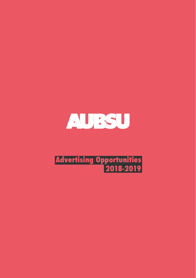

# **Advertising Opportunities 2018-2019**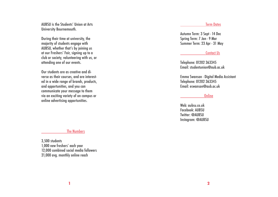AUBSU is the Students' Union at Arts University Bournemouth.

During their time at university, the majority of students engage with AUBSU, whether that's by joining us at our Freshers' Fair, signing up to a club or society, volunteering with us, or attending one of our events.

Our students are as creative and di verse as their courses, and are interest ed in a wide range of brands, products, and opportunities, and you can communicate your message to them via an exciting variety of on campus or online advertising opportunities.

#### The Numbers

3,500 students 1,000 new freshers' each year 12,000 combined social media followers 21,000 avg. monthly online reach

## Term Dates

Autumn Term: 3 Sept - 14 Dec Spring Term: 7 Jan - 9 Mar Summer Term: 23 Apr - 31 May

## Contact Us

Telephone: 01202 363345 Email: studentunion@aub.ac.uk

Emma Swanson - Digital Media Assistant Telephone: 01202 363345 Email: eswanson@aub.ac.uk

#### **Online**

Web: aubsu.co.uk Facebook: AUBSU Twitter: @AUBSU Instagram: @AUBSU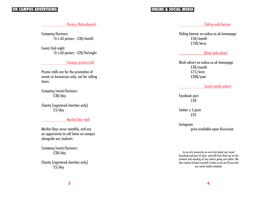## **ON CAMPUS ADVERTISING ONLINE & SOCIAL MEDIA**

## Posters/Noticeboards

Company/business 15 x A3 posters - £30/month

Event/club night 15 x A3 posters - £20/fortnight

## Campus promo stall

Promo stalls are for the promotion of events or businesses only, not for selling items.

Company/event/business £30/day

Charity (registered charities only) £5/day

## Market Day stall

Market Days occur monthly, and are an opportunity to sell items on campus alongside our students.

Company/event/business £30/day

Charity (registered charities only) £5/day

## Sliding web banner

Sliding banner on aubsu.co.uk homepage £50/month £120/term

## Block web advert

Block advert on aubsu.co.uk homepage £30/month £75/term £200/year

## Social media advert

Facebook post £50

Twitter x 3 posts £35

Instagram price available upon discussion

As an arts university we are strict about our visual branding and tone of voice, and will have final say on the artwork and wording of any advert going out online. We also require at least a month's notice so we can fit you into our social media schedule.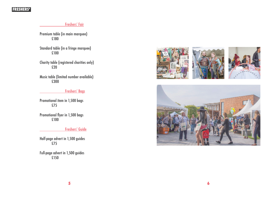## **FRESHERS'**

## Freshers' Fair

Premium table (in main marquee) £180

Standard table (in a fringe marquee) £100

Charity table (registered charities only) £20

Music table (limited number available) £300

## Freshers' Bags

Promotional item in 1,500 bags £75

Promotional flyer in 1,500 bags £100

## Freshers' Guide

Half-page advert in 1,500 guides £75

Full-page advert in 1,500 guides £150